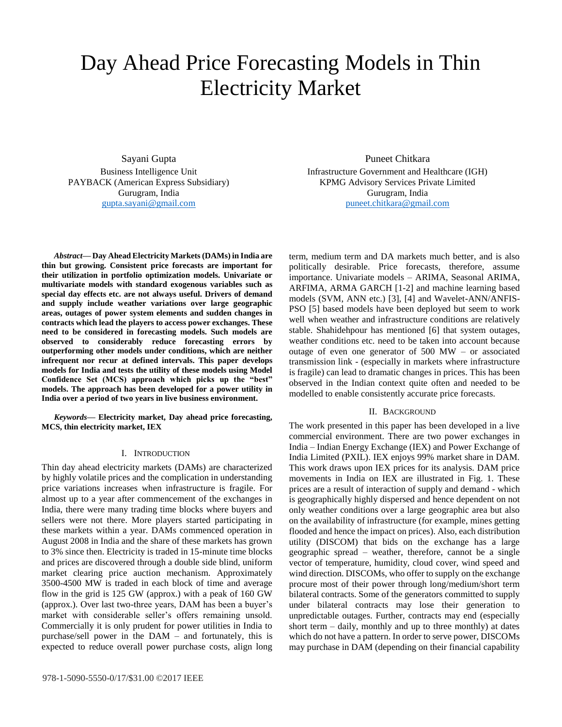# Day Ahead Price Forecasting Models in Thin Electricity Market

Sayani Gupta Business Intelligence Unit PAYBACK (American Express Subsidiary) Gurugram, India [gupta.sayani@gmail.com](file:///C:/Users/sgupta/AppData/Local/Temp/Temp1_final.zip/gupta.sayani@gmail.com)

*Abstract***— Day Ahead Electricity Markets (DAMs) in India are thin but growing. Consistent price forecasts are important for their utilization in portfolio optimization models. Univariate or multivariate models with standard exogenous variables such as special day effects etc. are not always useful. Drivers of demand and supply include weather variations over large geographic areas, outages of power system elements and sudden changes in contracts which lead the players to access power exchanges. These need to be considered in forecasting models. Such models are observed to considerably reduce forecasting errors by outperforming other models under conditions, which are neither infrequent nor recur at defined intervals. This paper develops models for India and tests the utility of these models using Model Confidence Set (MCS) approach which picks up the "best" models. The approach has been developed for a power utility in India over a period of two years in live business environment.**

*Keywords—* **Electricity market, Day ahead price forecasting, MCS, thin electricity market, IEX**

## I. INTRODUCTION

Thin day ahead electricity markets (DAMs) are characterized by highly volatile prices and the complication in understanding price variations increases when infrastructure is fragile. For almost up to a year after commencement of the exchanges in India, there were many trading time blocks where buyers and sellers were not there. More players started participating in these markets within a year. DAMs commenced operation in August 2008 in India and the share of these markets has grown to 3% since then. Electricity is traded in 15-minute time blocks and prices are discovered through a double side blind, uniform market clearing price auction mechanism. Approximately 3500-4500 MW is traded in each block of time and average flow in the grid is 125 GW (approx.) with a peak of 160 GW (approx.). Over last two-three years, DAM has been a buyer's market with considerable seller's offers remaining unsold. Commercially it is only prudent for power utilities in India to purchase/sell power in the DAM – and fortunately, this is expected to reduce overall power purchase costs, align long

Puneet Chitkara Infrastructure Government and Healthcare (IGH) KPMG Advisory Services Private Limited Gurugram, India [puneet.chitkara@gmail.com](file:///C:/Users/sgupta/AppData/Local/Temp/Temp1_final.zip/puneet.chitkara@gmail.com%0c)

term, medium term and DA markets much better, and is also politically desirable. Price forecasts, therefore, assume importance. Univariate models – ARIMA, Seasonal ARIMA, ARFIMA, ARMA GARCH [1-2] and machine learning based models (SVM, ANN etc.) [3], [4] and Wavelet-ANN/ANFIS-PSO [5] based models have been deployed but seem to work well when weather and infrastructure conditions are relatively stable. Shahidehpour has mentioned [6] that system outages, weather conditions etc. need to be taken into account because outage of even one generator of 500 MW – or associated transmission link - (especially in markets where infrastructure is fragile) can lead to dramatic changes in prices. This has been observed in the Indian context quite often and needed to be modelled to enable consistently accurate price forecasts.

## II. BACKGROUND

The work presented in this paper has been developed in a live commercial environment. There are two power exchanges in India – Indian Energy Exchange (IEX) and Power Exchange of India Limited (PXIL). IEX enjoys 99% market share in DAM. This work draws upon IEX prices for its analysis. DAM price movements in India on IEX are illustrated in Fig. 1. These prices are a result of interaction of supply and demand - which is geographically highly dispersed and hence dependent on not only weather conditions over a large geographic area but also on the availability of infrastructure (for example, mines getting flooded and hence the impact on prices). Also, each distribution utility (DISCOM) that bids on the exchange has a large geographic spread – weather, therefore, cannot be a single vector of temperature, humidity, cloud cover, wind speed and wind direction. DISCOMs, who offer to supply on the exchange procure most of their power through long/medium/short term bilateral contracts. Some of the generators committed to supply under bilateral contracts may lose their generation to unpredictable outages. Further, contracts may end (especially short term – daily, monthly and up to three monthly) at dates which do not have a pattern. In order to serve power, DISCOMs may purchase in DAM (depending on their financial capability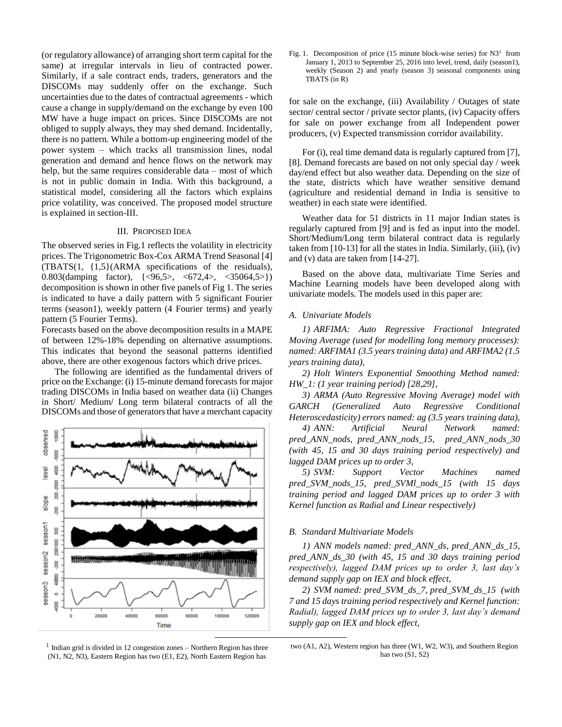(or regulatory allowance) of arranging short term capital for the same) at irregular intervals in lieu of contracted power. Similarly, if a sale contract ends, traders, generators and the DISCOMs may suddenly offer on the exchange. Such uncertainties due to the dates of contractual agreements - which cause a change in supply/demand on the exchange by even 100 MW have a huge impact on prices. Since DISCOMs are not obliged to supply always, they may shed demand. Incidentally, there is no pattern. While a bottom-up engineering model of the power system – which tracks all transmission lines, nodal generation and demand and hence flows on the network may help, but the same requires considerable data – most of which is not in public domain in India. With this background, a statistical model, considering all the factors which explains price volatility, was conceived. The proposed model structure is explained in section-III.

## III. PROPOSED IDEA

The observed series in Fig.1 reflects the volatility in electricity prices. The Trigonometric Box-Cox ARMA Trend Seasonal [4] (TBATS(1, {1,5}(ARMA specifications of the residuals), 0.803(damping factor), {<96,5>, <672,4>, <35064,5>}) decomposition is shown in other five panels of Fig 1. The series is indicated to have a daily pattern with 5 significant Fourier terms (season1), weekly pattern (4 Fourier terms) and yearly pattern (5 Fourier Terms).

Forecasts based on the above decomposition results in a MAPE of between 12%-18% depending on alternative assumptions. This indicates that beyond the seasonal patterns identified above, there are other exogenous factors which drive prices.

The following are identified as the fundamental drivers of price on the Exchange: (i) 15-minute demand forecasts for major trading DISCOMs in India based on weather data (ii) Changes in Short/ Medium/ Long term bilateral contracts of all the DISCOMs and those of generators that have a merchant capacity



1 Indian grid is divided in 12 congestion zones – Northern Region has three (N1, N2, N3), Eastern Region has two (E1, E2), North Eastern Region has

Fig. 1. Decomposition of price  $(15 \text{ minute block-wise series})$  for  $N3^1$  from January 1, 2013 to September 25, 2016 into level, trend, daily (season1), weekly (Season 2) and yearly (season 3) seasonal components using TBATS (in R)

for sale on the exchange, (iii) Availability / Outages of state sector/ central sector / private sector plants, (iv) Capacity offers for sale on power exchange from all Independent power producers, (v) Expected transmission corridor availability.

For (i), real time demand data is regularly captured from [7], [8]. Demand forecasts are based on not only special day / week day/end effect but also weather data. Depending on the size of the state, districts which have weather sensitive demand (agriculture and residential demand in India is sensitive to weather) in each state were identified.

Weather data for 51 districts in 11 major Indian states is regularly captured from [9] and is fed as input into the model. Short/Medium/Long term bilateral contract data is regularly taken from [10-13] for all the states in India. Similarly, (iii), (iv) and (v) data are taken from [14-27].

Based on the above data, multivariate Time Series and Machine Learning models have been developed along with univariate models. The models used in this paper are:

## *A. Univariate Models*

*1) ARFIMA: Auto Regressive Fractional Integrated Moving Average (used for modelling long memory processes): named: ARFIMA1 (3.5 years training data) and ARFIMA2 (1.5 years training data),* 

*2) Holt Winters Exponential Smoothing Method named: HW\_1: (1 year training period) [28,29],* 

*3) ARMA (Auto Regressive Moving Average) model with GARCH (Generalized Auto Regressive Conditional Heteroscedasticity) errors named: ag (3.5 years training data),* 

*4) ANN: Artificial Neural Network named: pred\_ANN\_nods, pred\_ANN\_nods\_15, pred\_ANN\_nods\_30 (with 45, 15 and 30 days training period respectively) and lagged DAM prices up to order 3,* 

*5) SVM: Support Vector Machines named pred\_SVM\_nods\_15, pred\_SVMl\_nods\_15 (with 15 days training period and lagged DAM prices up to order 3 with Kernel function as Radial and Linear respectively)*

## *B. Standard Multivariate Models*

*1) ANN models named: pred\_ANN\_ds, pred\_ANN\_ds\_15, pred\_ANN\_ds\_30 (with 45, 15 and 30 days training period respectively), lagged DAM prices up to order 3, last day's demand supply gap on IEX and block effect,* 

*2) SVM named: pred\_SVM\_ds\_7, pred\_SVM\_ds\_15 (with 7 and 15 days training period respectively and Kernel function: Radial), lagged DAM prices up to order 3, last day's demand supply gap on IEX and block effect,* 

two (A1, A2), Western region has three (W1, W2, W3), and Southern Region has two (S1, S2)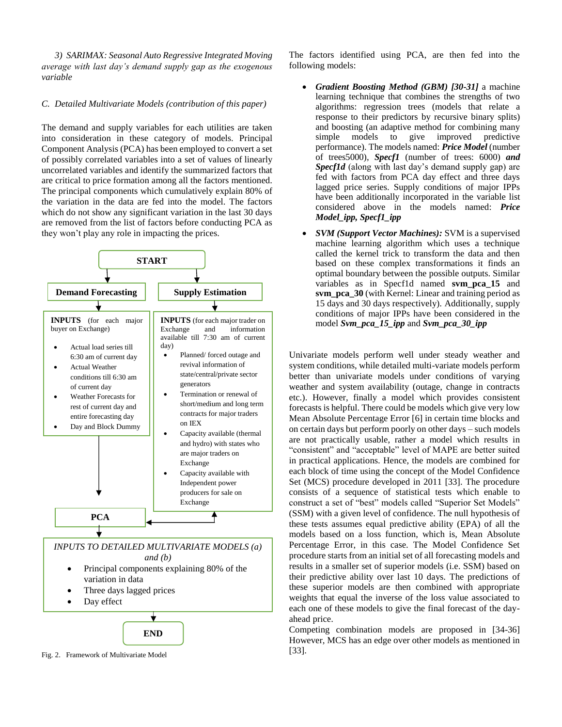*3) SARIMAX: Seasonal Auto Regressive Integrated Moving average with last day's demand supply gap as the exogenous variable*

## *C. Detailed Multivariate Models (contribution of this paper)*

The demand and supply variables for each utilities are taken into consideration in these category of models. Principal Component Analysis (PCA) has been employed to convert a set of possibly correlated variables into a set of values of [linearly](https://en.wikipedia.org/wiki/Correlation_and_dependence)  [uncorrelated](https://en.wikipedia.org/wiki/Correlation_and_dependence) variables and identify the summarized factors that are critical to price formation among all the factors mentioned. The principal components which cumulatively explain 80% of the variation in the data are fed into the model. The factors which do not show any significant variation in the last 30 days are removed from the list of factors before conducting PCA as they won't play any role in impacting the prices.



Fig. 2. Framework of Multivariate Model

The factors identified using PCA, are then fed into the following models:

- *Gradient Boosting Method (GBM) [30-31]* a machine learning technique that combines the strengths of two algorithms: regression trees (models that relate a response to their predictors by recursive binary splits) and boosting (an adaptive method for combining many<br>simple models to give improved predictive simple models to give improved predictive performance). The models named: *Price Model* (number of trees5000), *Specf1* (number of trees: 6000) *and Specf1d* (along with last day's demand supply gap) are fed with factors from PCA day effect and three days lagged price series. Supply conditions of major IPPs have been additionally incorporated in the variable list considered above in the models named: *Price Model\_ipp, Specf1\_ipp*
- *SVM (Support Vector Machines):* SVM is a supervised machine learning algorithm which uses a technique called the kernel trick to transform the data and then based on these complex transformations it finds an optimal boundary between the possible outputs. Similar variables as in Specf1d named **svm\_pca\_15** and **svm\_pca\_30** (with Kernel: Linear and training period as 15 days and 30 days respectively). Additionally, supply conditions of major IPPs have been considered in the model *Svm\_pca\_15\_ipp* and *Svm\_pca\_30\_ipp*

Univariate models perform well under steady weather and system conditions, while detailed multi-variate models perform better than univariate models under conditions of varying weather and system availability (outage, change in contracts etc.). However, finally a model which provides consistent forecasts is helpful. There could be models which give very low Mean Absolute Percentage Error [6] in certain time blocks and on certain days but perform poorly on other days – such models are not practically usable, rather a model which results in "consistent" and "acceptable" level of MAPE are better suited in practical applications. Hence, the models are combined for each block of time using the concept of the Model Confidence Set (MCS) procedure developed in 2011 [33]. The procedure consists of a sequence of statistical tests which enable to construct a set of "best" models called "Superior Set Models" (SSM) with a given level of confidence. The null hypothesis of these tests assumes equal predictive ability (EPA) of all the models based on a loss function, which is, Mean Absolute Percentage Error, in this case. The Model Confidence Set procedure starts from an initial set of all forecasting models and results in a smaller set of superior models (i.e. SSM) based on their predictive ability over last 10 days. The predictions of these superior models are then combined with appropriate weights that equal the inverse of the loss value associated to each one of these models to give the final forecast of the dayahead price.

Competing combination models are proposed in [34-36] However, MCS has an edge over other models as mentioned in [33].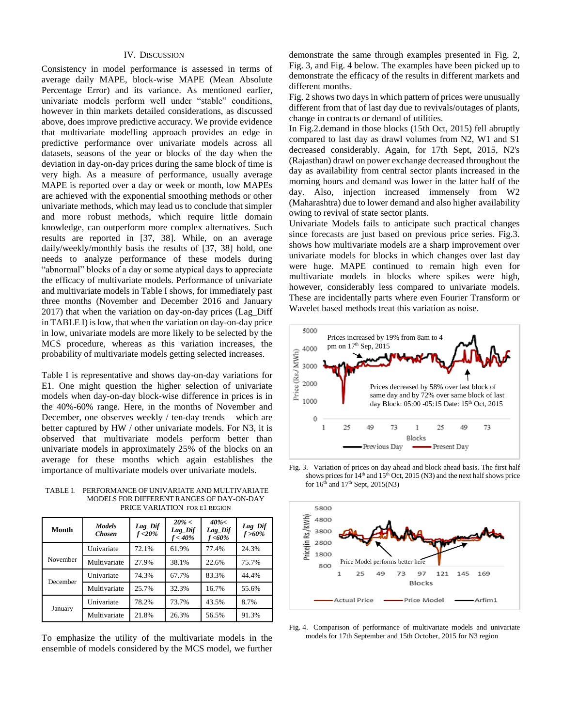#### IV. DISCUSSION

Consistency in model performance is assessed in terms of average daily MAPE, block-wise MAPE (Mean Absolute Percentage Error) and its variance. As mentioned earlier, univariate models perform well under "stable" conditions, however in thin markets detailed considerations, as discussed above, does improve predictive accuracy. We provide evidence that multivariate modelling approach provides an edge in predictive performance over univariate models across all datasets, seasons of the year or blocks of the day when the deviation in day-on-day prices during the same block of time is very high. As a measure of performance, usually average MAPE is reported over a day or week or month, low MAPEs are achieved with the exponential smoothing methods or other univariate methods, which may lead us to conclude that simpler and more robust methods, which require little domain knowledge, can outperform more complex alternatives. Such results are reported in [37, 38]. While, on an average daily/weekly/monthly basis the results of [37, 38] hold, one needs to analyze performance of these models during "abnormal" blocks of a day or some atypical days to appreciate the efficacy of multivariate models. Performance of univariate and multivariate models in Table I shows, for immediately past three months (November and December 2016 and January 2017) that when the variation on day-on-day prices (Lag\_Diff in TABLE I) is low, that when the variation on day-on-day price in low, univariate models are more likely to be selected by the MCS procedure, whereas as this variation increases, the probability of multivariate models getting selected increases.

Table I is representative and shows day-on-day variations for E1. One might question the higher selection of univariate models when day-on-day block-wise difference in prices is in the 40%-60% range. Here, in the months of November and December, one observes weekly / ten-day trends – which are better captured by HW / other univariate models. For N3, it is observed that multivariate models perform better than univariate models in approximately 25% of the blocks on an average for these months which again establishes the importance of multivariate models over univariate models.

TABLE I. PERFORMANCE OF UNIVARIATE AND MULTIVARIATE MODELS FOR DIFFERENT RANGES OF DAY-ON-DAY PRICE VARIATION FOR E1 REGION

| Month    | <b>Models</b><br><b>Chosen</b> | $Lag_Dif$<br>$f < 20\%$ | $20\% <$<br>Lag_Dif<br>f < 40% | $40\%<$<br>Lag_Dif<br>f <60% | Lag_Dif<br>$f > 60\%$ |
|----------|--------------------------------|-------------------------|--------------------------------|------------------------------|-----------------------|
|          | Univariate                     | 72.1%                   | 61.9%                          | 77.4%                        | 24.3%                 |
| November | Multivariate                   | 27.9%                   | 38.1%                          | 22.6%                        | 75.7%                 |
| December | Univariate                     | 74.3%                   | 67.7%                          | 83.3%                        | 44.4%                 |
|          | Multivariate                   | 25.7%                   | 32.3%                          | 16.7%                        | 55.6%                 |
| January  | Univariate                     | 78.2%                   | 73.7%                          | 43.5%                        | 8.7%                  |
|          | Multivariate                   | 21.8%                   | 26.3%                          | 56.5%                        | 91.3%                 |

To emphasize the utility of the multivariate models in the ensemble of models considered by the MCS model, we further

demonstrate the same through examples presented in Fig. 2, Fig. 3, and Fig. 4 below. The examples have been picked up to demonstrate the efficacy of the results in different markets and different months.

Fig. 2 shows two days in which pattern of prices were unusually different from that of last day due to revivals/outages of plants, change in contracts or demand of utilities.

In Fig.2.demand in those blocks (15th Oct, 2015) fell abruptly compared to last day as drawl volumes from N2, W1 and S1 decreased considerably. Again, for 17th Sept, 2015, N2's (Rajasthan) drawl on power exchange decreased throughout the day as availability from central sector plants increased in the morning hours and demand was lower in the latter half of the day. Also, injection increased immensely from W2 (Maharashtra) due to lower demand and also higher availability owing to revival of state sector plants.

Univariate Models fails to anticipate such practical changes since forecasts are just based on previous price series. Fig.3. shows how multivariate models are a sharp improvement over univariate models for blocks in which changes over last day were huge. MAPE continued to remain high even for multivariate models in blocks where spikes were high, however, considerably less compared to univariate models. These are incidentally parts where even Fourier Transform or Wavelet based methods treat this variation as noise.



Fig. 3. Variation of prices on day ahead and block ahead basis. The first half shows prices for  $14<sup>th</sup>$  and  $15<sup>th</sup>$  Oct, 2015 (N3) and the next half shows price for  $16<sup>th</sup>$  and  $17<sup>th</sup>$  Sept, 2015(N3)



Fig. 4. Comparison of performance of multivariate models and univariate models for 17th September and 15th October, 2015 for N3 region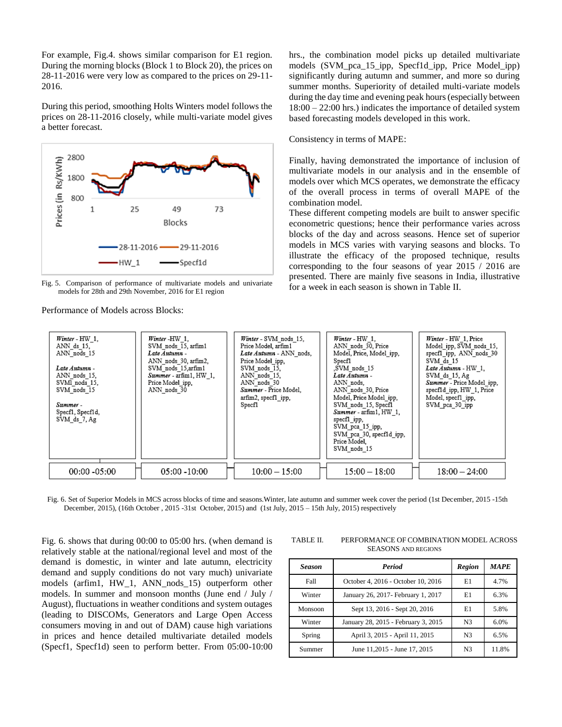For example, Fig.4. shows similar comparison for E1 region. During the morning blocks (Block 1 to Block 20), the prices on 28-11-2016 were very low as compared to the prices on 29-11- 2016.

During this period, smoothing Holts Winters model follows the prices on 28-11-2016 closely, while multi-variate model gives a better forecast.



Fig. 5. Comparison of performance of multivariate models and univariate models for 28th and 29th November, 2016 for E1 region

Performance of Models across Blocks:

hrs., the combination model picks up detailed multivariate models (SVM\_pca\_15\_ipp, Specf1d\_ipp, Price Model\_ipp) significantly during autumn and summer, and more so during summer months. Superiority of detailed multi-variate models during the day time and evening peak hours (especially between 18:00 – 22:00 hrs.) indicates the importance of detailed system based forecasting models developed in this work.

#### Consistency in terms of MAPE:

Finally, having demonstrated the importance of inclusion of multivariate models in our analysis and in the ensemble of models over which MCS operates, we demonstrate the efficacy of the overall process in terms of overall MAPE of the combination model.

These different competing models are built to answer specific econometric questions; hence their performance varies across blocks of the day and across seasons. Hence set of superior models in MCS varies with varying seasons and blocks. To illustrate the efficacy of the proposed technique, results corresponding to the four seasons of year 2015 / 2016 are presented. There are mainly five seasons in India, illustrative for a week in each season is shown in Table II.

| Winter - HW 1,<br>ANN ds 15,<br>ANN nods 15<br>Late Autumn -<br>ANN nods 15,<br>SVMI nods 15,<br>SVM nods 15<br>Summer-<br>Specf1, Specf1d,<br>SVM ds 7, Ag | Winter-HW 1.<br>SVM nods 15, arfim1<br>Late Autumn -<br>ANN nods 30, arfim2,<br>SVM nods 15,arfim1<br>Summer - arfim1, HW 1,<br>Price Model ipp,<br>ANN nods 30 | Winter - SVM nods 15.<br>Price Model, arfim1<br>Late Autumn - ANN nods,<br>Price Model ipp.<br>SVM nods 15.<br>ANN nods 15,<br>ANN nods 30<br>Summer - Price Model,<br>arfim2, specf1 ipp,<br>Specf1 | Winter - HW 1,<br>ANN nods 30, Price<br>Model, Price, Model ipp,<br>Specf1<br>SVM nods 15<br>Late Autumn -<br>ANN nods.<br>ANN nods 30, Price<br>Model, Price Model ipp,<br>SVM nods 15, Specf1<br>Summer - arfim1, HW 1,<br>specf1 ipp,<br>SVM pca 15 ipp,<br>SVM pca 30, specf1d ipp,<br>Price Model,<br>SVM nods 15 | Winter - HW 1, Price<br>Model ipp, SVM nods 15,<br>specf1 ipp, ANN nods 30<br>SVM ds 15<br>Late Autumn - HW 1,<br>SVM ds 15, Ag<br>Summer - Price Model_ipp,<br>specf1d ipp, HW 1, Price<br>Model, specf1 ipp,<br>SVM pca 30 ipp |
|-------------------------------------------------------------------------------------------------------------------------------------------------------------|-----------------------------------------------------------------------------------------------------------------------------------------------------------------|------------------------------------------------------------------------------------------------------------------------------------------------------------------------------------------------------|------------------------------------------------------------------------------------------------------------------------------------------------------------------------------------------------------------------------------------------------------------------------------------------------------------------------|----------------------------------------------------------------------------------------------------------------------------------------------------------------------------------------------------------------------------------|
| $00:00 - 05:00$                                                                                                                                             | $05:00 - 10:00$                                                                                                                                                 | $10:00 - 15:00$                                                                                                                                                                                      | $15:00 - 18:00$                                                                                                                                                                                                                                                                                                        | $18:00 - 24:00$                                                                                                                                                                                                                  |

Fig. 6. Set of Superior Models in MCS across blocks of time and seasons.Winter, late autumn and summer week cover the period (1st December, 2015 -15th December, 2015), (16th October , 2015 -31st October, 2015) and (1st July, 2015 – 15th July, 2015) respectively

Fig. 6. shows that during 00:00 to 05:00 hrs. (when demand is relatively stable at the national/regional level and most of the demand is domestic, in winter and late autumn, electricity demand and supply conditions do not vary much) univariate models (arfim1, HW\_1, ANN\_nods\_15) outperform other models. In summer and monsoon months (June end / July / August), fluctuations in weather conditions and system outages (leading to DISCOMs, Generators and Large Open Access consumers moving in and out of DAM) cause high variations in prices and hence detailed multivariate detailed models (Specf1, Specf1d) seen to perform better. From 05:00-10:00

TABLE II. PERFORMANCE OF COMBINATION MODEL ACROSS SEASONS AND REGIONS

| <b>Season</b> | <b>Period</b>                       | <b>Region</b>  | <b>MAPE</b> |
|---------------|-------------------------------------|----------------|-------------|
| Fall          | October 4, 2016 - October 10, 2016  | E1             | 4.7%        |
| Winter        | January 26, 2017 - February 1, 2017 | E1             | 6.3%        |
| Monsoon       | Sept 13, 2016 - Sept 20, 2016       | E1             | 5.8%        |
| Winter        | January 28, 2015 - February 3, 2015 | N <sub>3</sub> | 6.0%        |
| Spring        | April 3, 2015 - April 11, 2015      | N <sub>3</sub> | 6.5%        |
| Summer        | June 11,2015 - June 17, 2015        | N <sub>3</sub> | 11.8%       |